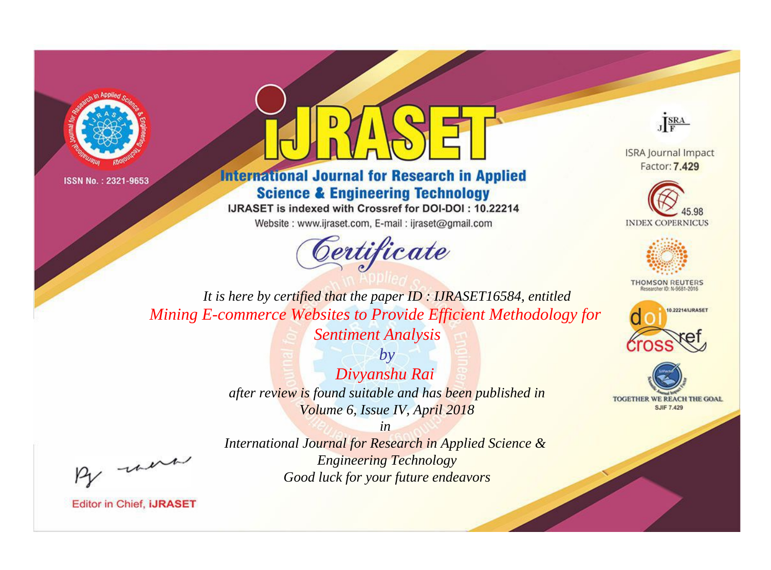



**International Journal for Research in Applied Science & Engineering Technology** 

IJRASET is indexed with Crossref for DOI-DOI: 10.22214

Website: www.ijraset.com, E-mail: ijraset@gmail.com





**ISRA Journal Impact** Factor: 7.429





**THOMSON REUTERS** 



TOGETHER WE REACH THE GOAL **SJIF 7.429** 

*It is here by certified that the paper ID : IJRASET16584, entitled Mining E-commerce Websites to Provide Efficient Methodology for* 

*Sentiment Analysis*

*by Divyanshu Rai after review is found suitable and has been published in Volume 6, Issue IV, April 2018*

, un

*International Journal for Research in Applied Science & Engineering Technology Good luck for your future endeavors*

*in*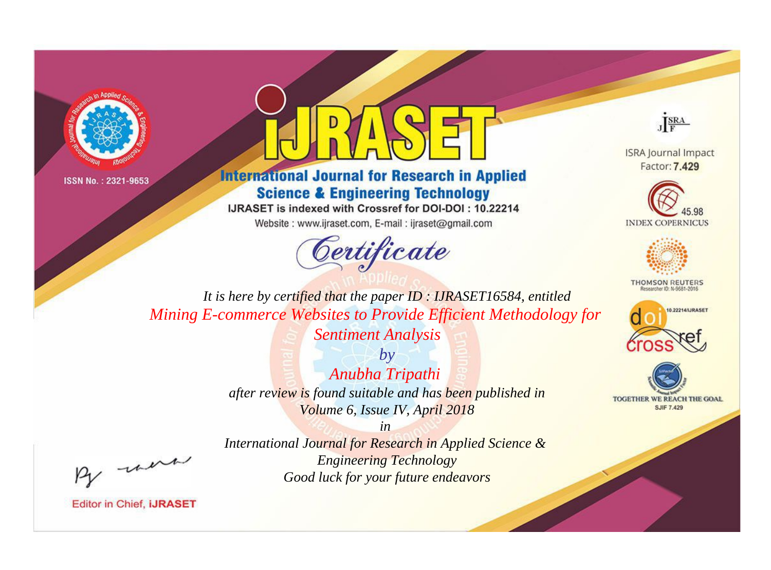



**International Journal for Research in Applied Science & Engineering Technology** 

IJRASET is indexed with Crossref for DOI-DOI: 10.22214

Website: www.ijraset.com, E-mail: ijraset@gmail.com





**ISRA Journal Impact** Factor: 7.429





**THOMSON REUTERS** 



TOGETHER WE REACH THE GOAL **SJIF 7.429** 

*It is here by certified that the paper ID : IJRASET16584, entitled Mining E-commerce Websites to Provide Efficient Methodology for Sentiment Analysis*

> *by Anubha Tripathi after review is found suitable and has been published in Volume 6, Issue IV, April 2018*

, un

*International Journal for Research in Applied Science & Engineering Technology Good luck for your future endeavors*

*in*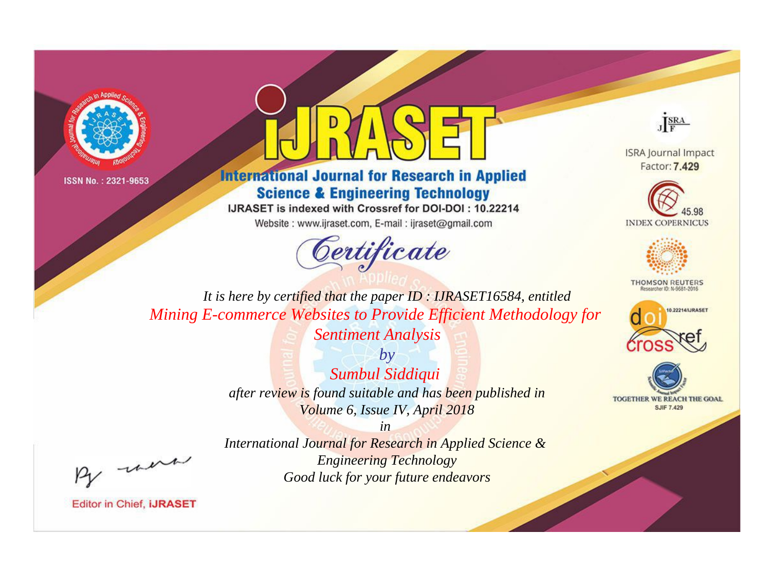



**International Journal for Research in Applied Science & Engineering Technology** 

IJRASET is indexed with Crossref for DOI-DOI: 10.22214

Website: www.ijraset.com, E-mail: ijraset@gmail.com





**ISRA Journal Impact** Factor: 7.429





**THOMSON REUTERS** 



TOGETHER WE REACH THE GOAL **SJIF 7.429** 

*It is here by certified that the paper ID : IJRASET16584, entitled Mining E-commerce Websites to Provide Efficient Methodology for* 

*Sentiment Analysis by*

*Sumbul Siddiqui after review is found suitable and has been published in Volume 6, Issue IV, April 2018*

*in* 

, un

*International Journal for Research in Applied Science & Engineering Technology Good luck for your future endeavors*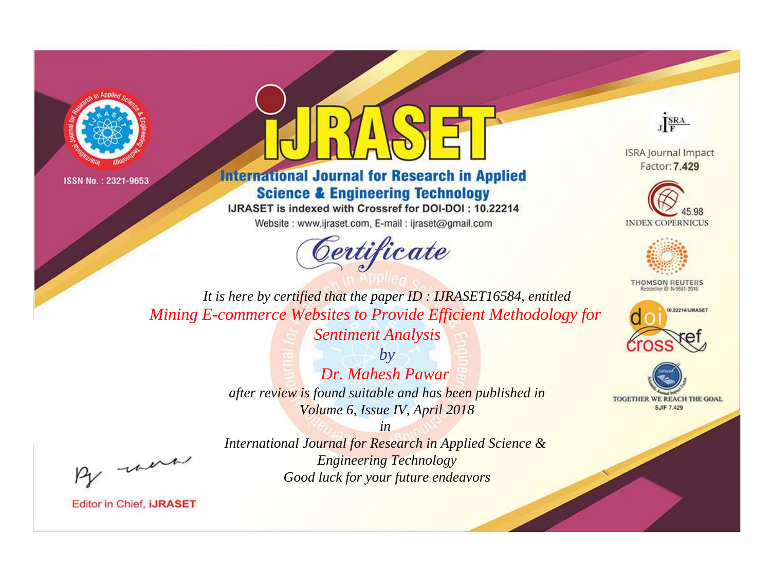



**International Journal for Research in Applied Science & Engineering Technology** 

IJRASET is indexed with Crossref for DOI-DOI: 10.22214

Website: www.ijraset.com, E-mail: ijraset@gmail.com





**ISRA Journal Impact** Factor: 7.429





**THOMSON REUTERS** 



TOGETHER WE REACH THE GOAL **SJIF 7.429** 

*It is here by certified that the paper ID : IJRASET16584, entitled Mining E-commerce Websites to Provide Efficient Methodology for* 

*Sentiment Analysis*

*by Dr. Mahesh Pawar after review is found suitable and has been published in Volume 6, Issue IV, April 2018*

, un

*International Journal for Research in Applied Science & Engineering Technology Good luck for your future endeavors*

*in*